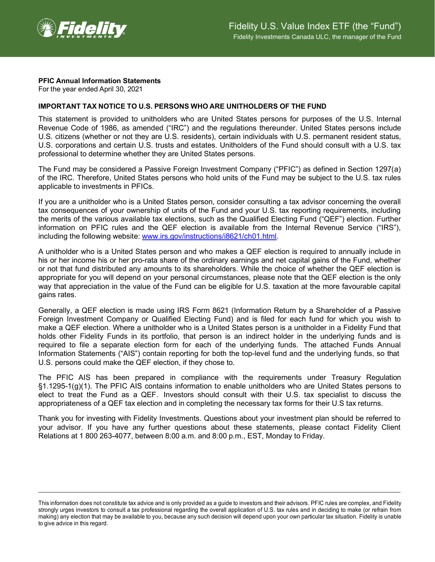

## **PFIC Annual Information Statements**

For the year ended April 30, 2021

## **IMPORTANT TAX NOTICE TO U.S. PERSONS WHO ARE UNITHOLDERS OF THE FUND**

This statement is provided to unitholders who are United States persons for purposes of the U.S. Internal Revenue Code of 1986, as amended ("IRC") and the regulations thereunder. United States persons include U.S. citizens (whether or not they are U.S. residents), certain individuals with U.S. permanent resident status, U.S. corporations and certain U.S. trusts and estates. Unitholders of the Fund should consult with a U.S. tax professional to determine whether they are United States persons.

The Fund may be considered a Passive Foreign Investment Company ("PFIC") as defined in Section 1297(a) of the IRC. Therefore, United States persons who hold units of the Fund may be subject to the U.S. tax rules applicable to investments in PFICs.

If you are a unitholder who is a United States person, consider consulting a tax advisor concerning the overall tax consequences of your ownership of units of the Fund and your U.S. tax reporting requirements, including the merits of the various available tax elections, such as the Qualified Electing Fund ("QEF") election. Further information on PFIC rules and the QEF election is available from the Internal Revenue Service ("IRS"), including the following website: [www.irs.gov/instructions/i8621/ch01.html.](http://www.irs.gov/instructions/i8621/ch01.html)

A unitholder who is a United States person and who makes a QEF election is required to annually include in his or her income his or her pro-rata share of the ordinary earnings and net capital gains of the Fund, whether or not that fund distributed any amounts to its shareholders. While the choice of whether the QEF election is appropriate for you will depend on your personal circumstances, please note that the QEF election is the only way that appreciation in the value of the Fund can be eligible for U.S. taxation at the more favourable capital gains rates.

Generally, a QEF election is made using IRS Form 8621 (Information Return by a Shareholder of a Passive Foreign Investment Company or Qualified Electing Fund) and is filed for each fund for which you wish to make a QEF election. Where a unitholder who is a United States person is a unitholder in a Fidelity Fund that holds other Fidelity Funds in its portfolio, that person is an indirect holder in the underlying funds and is required to file a separate election form for each of the underlying funds. The attached Funds Annual Information Statements ("AIS") contain reporting for both the top-level fund and the underlying funds, so that U.S. persons could make the QEF election, if they chose to.

The PFIC AIS has been prepared in compliance with the requirements under Treasury Regulation §1.1295-1(g)(1). The PFIC AIS contains information to enable unitholders who are United States persons to elect to treat the Fund as a QEF. Investors should consult with their U.S. tax specialist to discuss the appropriateness of a QEF tax election and in completing the necessary tax forms for their U.S tax returns.

Thank you for investing with Fidelity Investments. Questions about your investment plan should be referred to your advisor. If you have any further questions about these statements, please contact Fidelity Client Relations at 1 800 263-4077, between 8:00 a.m. and 8:00 p.m., EST, Monday to Friday.

This information does not constitute tax advice and is only provided as a guide to investors and their advisors. PFIC rules are complex, and Fidelity strongly urges investors to consult a tax professional regarding the overall application of U.S. tax rules and in deciding to make (or refrain from making) any election that may be available to you, because any such decision will depend upon your own particular tax situation. Fidelity is unable to give advice in this regard.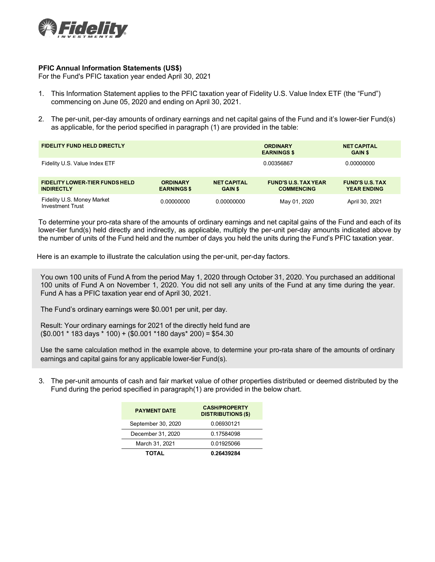

## **PFIC Annual Information Statements (US\$)**

For the Fund's PFIC taxation year ended April 30, 2021

- 1. This Information Statement applies to the PFIC taxation year of Fidelity U.S. Value Index ETF (the "Fund") commencing on June 05, 2020 and ending on April 30, 2021.
- 2. The per-unit, per-day amounts of ordinary earnings and net capital gains of the Fund and it's lower-tier Fund(s) as applicable, for the period specified in paragraph (1) are provided in the table:

| <b>FIDELITY FUND HELD DIRECTLY</b>                         |                                       |                                      | <b>ORDINARY</b><br><b>EARNINGS \$</b>            | <b>NET CAPITAL</b><br><b>GAIN \$</b>         |  |
|------------------------------------------------------------|---------------------------------------|--------------------------------------|--------------------------------------------------|----------------------------------------------|--|
| Fidelity U.S. Value Index ETF                              |                                       |                                      | 0.00356867                                       | 0.00000000                                   |  |
| <b>FIDELITY LOWER-TIER FUNDS HELD</b><br><b>INDIRECTLY</b> | <b>ORDINARY</b><br><b>EARNINGS \$</b> | <b>NET CAPITAL</b><br><b>GAIN \$</b> | <b>FUND'S U.S. TAX YEAR</b><br><b>COMMENCING</b> | <b>FUND'S U.S. TAX</b><br><b>YEAR ENDING</b> |  |
| Fidelity U.S. Money Market<br><b>Investment Trust</b>      | 0.00000000                            | 0.00000000                           | May 01, 2020                                     | April 30, 2021                               |  |

To determine your pro-rata share of the amounts of ordinary earnings and net capital gains of the Fund and each of its lower-tier fund(s) held directly and indirectly, as applicable, multiply the per-unit per-day amounts indicated above by the number of units of the Fund held and the number of days you held the units during the Fund's PFIC taxation year.

Here is an example to illustrate the calculation using the per-unit, per-day factors.

You own 100 units of Fund A from the period May 1, 2020 through October 31, 2020. You purchased an additional 100 units of Fund A on November 1, 2020. You did not sell any units of the Fund at any time during the year. Fund A has a PFIC taxation year end of April 30, 2021.

The Fund's ordinary earnings were \$0.001 per unit, per day.

Result: Your ordinary earnings for 2021 of the directly held fund are (\$0.001 \* 183 days \* 100) + (\$0.001 \*180 days\* 200) = \$54.30

Use the same calculation method in the example above, to determine your pro-rata share of the amounts of ordinary earnings and capital gains for any applicable lower-tier Fund(s).

3. The per-unit amounts of cash and fair market value of other properties distributed or deemed distributed by the Fund during the period specified in paragraph(1) are provided in the below chart.

| <b>PAYMENT DATE</b> | <b>CASH/PROPERTY</b><br><b>DISTRIBUTIONS (\$)</b> |  |  |
|---------------------|---------------------------------------------------|--|--|
| September 30, 2020  | 0.06930121                                        |  |  |
| December 31, 2020   | 0.17584098                                        |  |  |
| March 31, 2021      | 0.01925066                                        |  |  |
| <b>TOTAL</b>        | 0.26439284                                        |  |  |